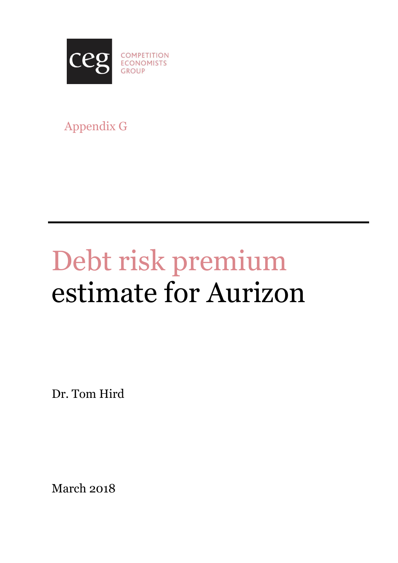

# Appendix G

# Debt risk premium estimate for Aurizon

Dr. Tom Hird

March 2018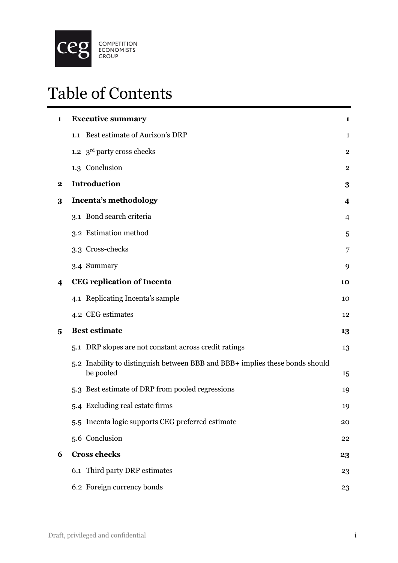

# Table of Contents

| 1                       | <b>Executive summary</b>                                                                  | $\mathbf{1}$     |
|-------------------------|-------------------------------------------------------------------------------------------|------------------|
|                         | 1.1 Best estimate of Aurizon's DRP                                                        | 1                |
|                         | 1.2 3 <sup>rd</sup> party cross checks                                                    | $\overline{2}$   |
|                         | 1.3 Conclusion                                                                            | $\overline{2}$   |
| 2                       | <b>Introduction</b>                                                                       | 3                |
| 3                       | Incenta's methodology                                                                     | $\boldsymbol{4}$ |
|                         | 3.1 Bond search criteria                                                                  | $\overline{4}$   |
|                         | 3.2 Estimation method                                                                     | 5                |
|                         | 3.3 Cross-checks                                                                          | 7                |
|                         | 3.4 Summary                                                                               | 9                |
| $\overline{\mathbf{4}}$ | <b>CEG</b> replication of Incenta                                                         | 10               |
|                         | 4.1 Replicating Incenta's sample                                                          | 10               |
|                         | 4.2 CEG estimates                                                                         | 12               |
| $\overline{\mathbf{5}}$ | <b>Best estimate</b>                                                                      | 13               |
|                         | 5.1 DRP slopes are not constant across credit ratings                                     | 13               |
|                         | 5.2 Inability to distinguish between BBB and BBB+ implies these bonds should<br>be pooled | 15               |
|                         | 5.3 Best estimate of DRP from pooled regressions                                          | 19               |
|                         | 5.4 Excluding real estate firms                                                           | 19               |
|                         | 5.5 Incenta logic supports CEG preferred estimate                                         | 20               |
|                         | 5.6 Conclusion                                                                            | 22               |
| 6                       | <b>Cross checks</b>                                                                       | 23               |
|                         | 6.1 Third party DRP estimates                                                             | 23               |
|                         | 6.2 Foreign currency bonds                                                                | 23               |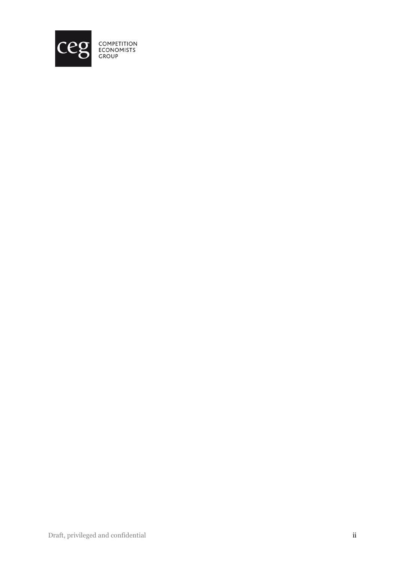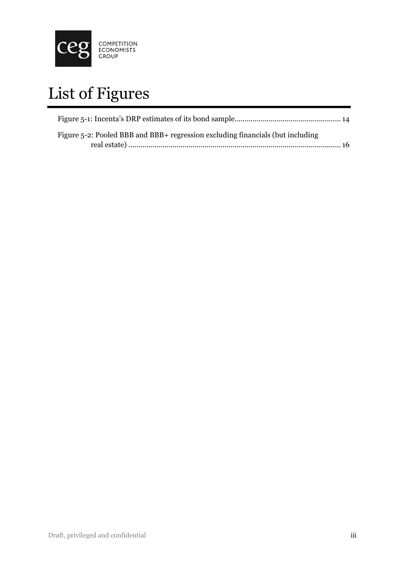

# List of Figures

| Figure 5-2: Pooled BBB and BBB+ regression excluding financials (but including |  |
|--------------------------------------------------------------------------------|--|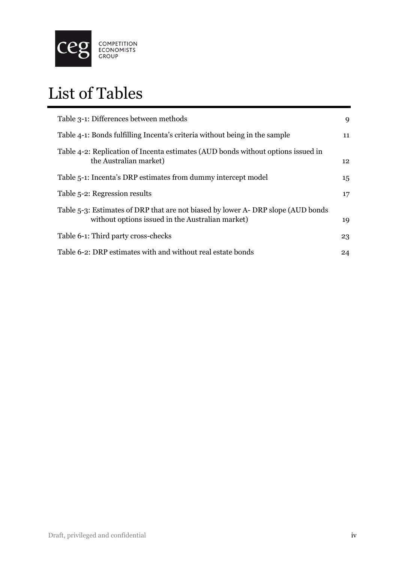

# List of Tables

| Table 3-1: Differences between methods                                                                                                | 9  |
|---------------------------------------------------------------------------------------------------------------------------------------|----|
| Table 4-1: Bonds fulfilling Incenta's criteria without being in the sample                                                            | 11 |
| Table 4-2: Replication of Incenta estimates (AUD bonds without options issued in<br>the Australian market)                            | 12 |
| Table 5-1: Incenta's DRP estimates from dummy intercept model                                                                         | 15 |
| Table 5-2: Regression results                                                                                                         | 17 |
| Table 5-3: Estimates of DRP that are not biased by lower A- DRP slope (AUD bonds)<br>without options issued in the Australian market) | 19 |
| Table 6-1: Third party cross-checks                                                                                                   | 23 |
| Table 6-2: DRP estimates with and without real estate bonds                                                                           | 24 |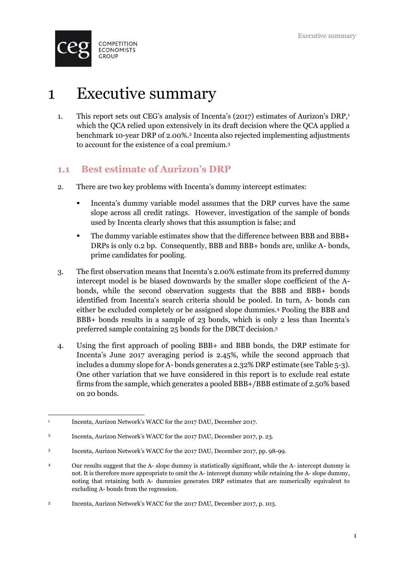COMPETITION **ECONOMISTS GROUP** 

# <span id="page-5-0"></span>1 Executive summary

1. This report sets out CEG's analysis of Incenta's (2017) estimates of Aurizon's DRP,<sup>1</sup> which the QCA relied upon extensively in its draft decision where the QCA applied a benchmark 10-year DRP of 2.00%.<sup>2</sup> Incenta also rejected implementing adjustments to account for the existence of a coal premium.<sup>3</sup>

### <span id="page-5-1"></span>**1.1 Best estimate of Aurizon's DRP**

- <span id="page-5-2"></span>2. There are two key problems with Incenta's dummy intercept estimates:
	- Incenta's dummy variable model assumes that the DRP curves have the same slope across all credit ratings. However, investigation of the sample of bonds used by Incenta clearly shows that this assumption is false; and
	- The dummy variable estimates show that the difference between BBB and BBB+ DRPs is only 0.2 bp. Consequently, BBB and BBB+ bonds are, unlike A- bonds, prime candidates for pooling.
- 3. The first observation means that Incenta's 2.00% estimate from its preferred dummy intercept model is be biased downwards by the smaller slope coefficient of the Abonds, while the second observation suggests that the BBB and BBB+ bonds identified from Incenta's search criteria should be pooled. In turn, A- bonds can either be excluded completely or be assigned slope dummies.<sup>4</sup> Pooling the BBB and BBB+ bonds results in a sample of 23 bonds, which is only 2 less than Incenta's preferred sample containing 25 bonds for the DBCT decision.<sup>5</sup>
- 4. Using the first approach of pooling BBB+ and BBB bonds, the DRP estimate for Incenta's June 2017 averaging period is 2.45%, while the second approach that includes a dummy slope for A- bonds generates a 2.32% DRP estimate (se[e Table 5-3\)](#page-23-2). One other variation that we have considered in this report is to exclude real estate firms from the sample, which generates a pooled BBB+/BBB estimate of 2.50% based on 20 bonds.

**<sup>.</sup>** <sup>1</sup> Incenta, Aurizon Network's WACC for the 2017 DAU, December 2017.

<sup>&</sup>lt;sup>2</sup> Incenta, Aurizon Network's WACC for the 2017 DAU, December 2017, p. 23.

<sup>3</sup> Incenta, Aurizon Network's WACC for the 2017 DAU, December 2017, pp. 98-99.

<sup>4</sup> Our results suggest that the A- slope dummy is statistically significant, while the A- intercept dummy is not. It is therefore more appropriate to omit the A- intercept dummy while retaining the A- slope dummy, noting that retaining both A- dummies generates DRP estimates that are numerically equivalent to excluding A- bonds from the regression.

<sup>5</sup> Incenta, Aurizon Network's WACC for the 2017 DAU, December 2017, p. 103.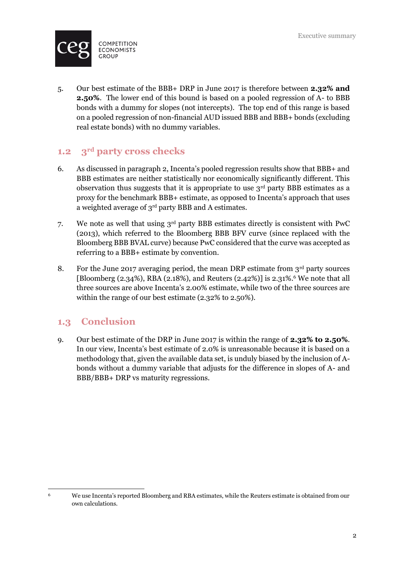

5. Our best estimate of the BBB+ DRP in June 2017 is therefore between **2.32% and 2.50%**. The lower end of this bound is based on a pooled regression of A- to BBB bonds with a dummy for slopes (not intercepts). The top end of this range is based on a pooled regression of non-financial AUD issued BBB and BBB+ bonds (excluding real estate bonds) with no dummy variables.

### <span id="page-6-0"></span>**1.2 3rd party cross checks**

- 6. As discussed in paragraph [2,](#page-5-2) Incenta's pooled regression results show that BBB+ and BBB estimates are neither statistically nor economically significantly different. This observation thus suggests that it is appropriate to use  $3<sup>rd</sup>$  party BBB estimates as a proxy for the benchmark BBB+ estimate, as opposed to Incenta's approach that uses a weighted average of 3rd party BBB and A estimates.
- 7. We note as well that using  $3<sup>rd</sup>$  party BBB estimates directly is consistent with PwC (2013), which referred to the Bloomberg BBB BFV curve (since replaced with the Bloomberg BBB BVAL curve) because PwC considered that the curve was accepted as referring to a BBB+ estimate by convention.
- 8. For the June 2017 averaging period, the mean DRP estimate from  $3<sup>rd</sup>$  party sources [Bloomberg  $(2.34\%)$ , RBA  $(2.18\%)$ , and Reuters  $(2.42\%)$ ] is  $2.31\%$ .<sup>6</sup> We note that all three sources are above Incenta's 2.00% estimate, while two of the three sources are within the range of our best estimate (2.32% to 2.50%).

#### <span id="page-6-1"></span>**1.3 Conclusion**

9. Our best estimate of the DRP in June 2017 is within the range of **2.32% to 2.50%**. In our view, Incenta's best estimate of 2.0% is unreasonable because it is based on a methodology that, given the available data set, is unduly biased by the inclusion of Abonds without a dummy variable that adjusts for the difference in slopes of A- and BBB/BBB+ DRP vs maturity regressions.

**.** <sup>6</sup> We use Incenta's reported Bloomberg and RBA estimates, while the Reuters estimate is obtained from our own calculations.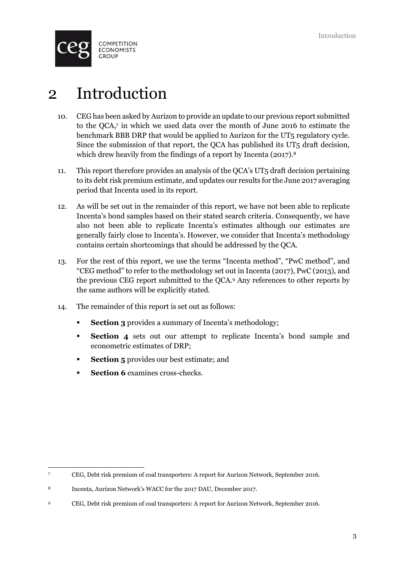

# <span id="page-7-0"></span>2 Introduction

- 10. CEG has been asked by Aurizon to provide an update to our previous report submitted to the QCA, 7 in which we used data over the month of June 2016 to estimate the benchmark BBB DRP that would be applied to Aurizon for the UT5 regulatory cycle. Since the submission of that report, the QCA has published its UT5 draft decision, which drew heavily from the findings of a report by Incenta (2017).<sup>8</sup>
- 11. This report therefore provides an analysis of the QCA's UT5 draft decision pertaining to its debt risk premium estimate, and updates our results for the June 2017 averaging period that Incenta used in its report.
- 12. As will be set out in the remainder of this report, we have not been able to replicate Incenta's bond samples based on their stated search criteria. Consequently, we have also not been able to replicate Incenta's estimates although our estimates are generally fairly close to Incenta's. However, we consider that Incenta's methodology contains certain shortcomings that should be addressed by the QCA.
- 13. For the rest of this report, we use the terms "Incenta method", "PwC method", and "CEG method" to refer to the methodology set out in Incenta (2017), PwC (2013), and the previous CEG report submitted to the QCA.<sup>9</sup> Any references to other reports by the same authors will be explicitly stated.
- 14. The remainder of this report is set out as follows:
	- **Section [3](#page-8-0)** provides a summary of Incenta's methodology;
	- **Section [4](#page-14-0)** sets out our attempt to replicate Incenta's bond sample and econometric estimates of DRP;
	- **Section [5](#page-17-0)** provides our best estimate; and
	- **Section [6](#page-27-0)** examines cross-checks.

<sup>1</sup> <sup>7</sup> CEG, Debt risk premium of coal transporters: A report for Aurizon Network, September 2016.

<sup>8</sup> Incenta, Aurizon Network's WACC for the 2017 DAU, December 2017.

<sup>9</sup> CEG, Debt risk premium of coal transporters: A report for Aurizon Network, September 2016.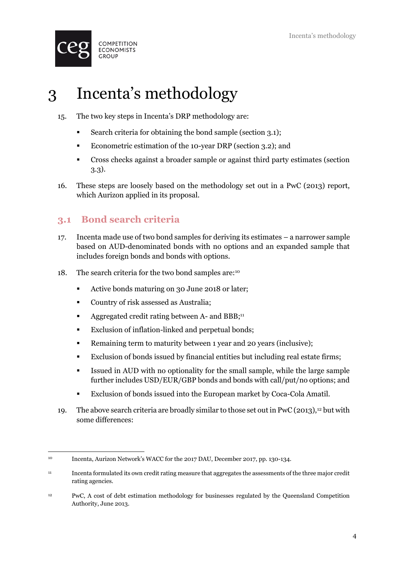**COMPETITION ECONOMISTS GROUP** 

# <span id="page-8-0"></span>3 Incenta's methodology

- 15. The two key steps in Incenta's DRP methodology are:
	- Search criteria for obtaining the bond sample (section [3.1\)](#page-8-1);
	- Econometric estimation of the 10-year DRP (section [3.2\)](#page-9-0); and
	- Cross checks against a broader sample or against third party estimates (section [3.3\)](#page-11-0).
- 16. These steps are loosely based on the methodology set out in a PwC (2013) report, which Aurizon applied in its proposal.

### <span id="page-8-1"></span>**3.1 Bond search criteria**

- 17. Incenta made use of two bond samples for deriving its estimates a narrower sample based on AUD-denominated bonds with no options and an expanded sample that includes foreign bonds and bonds with options.
- 18. The search criteria for the two bond samples are:<sup>10</sup>
	- Active bonds maturing on 30 June 2018 or later;
	- Country of risk assessed as Australia;
	- Aggregated credit rating between A- and BBB;<sup>11</sup>
	- **Exclusion of inflation-linked and perpetual bonds;**
	- Remaining term to maturity between 1 year and 20 years (inclusive);
	- Exclusion of bonds issued by financial entities but including real estate firms;
	- Issued in AUD with no optionality for the small sample, while the large sample further includes USD/EUR/GBP bonds and bonds with call/put/no options; and
	- Exclusion of bonds issued into the European market by Coca-Cola Amatil.
- 19. The above search criteria are broadly similar to those set out in PwC (2013),<sup>12</sup> but with some differences:

 $\overline{a}$ <sup>10</sup> Incenta, Aurizon Network's WACC for the 2017 DAU, December 2017, pp. 130-134.

<sup>11</sup> Incenta formulated its own credit rating measure that aggregates the assessments of the three major credit rating agencies.

<sup>&</sup>lt;sup>12</sup> PwC, A cost of debt estimation methodology for businesses regulated by the Queensland Competition Authority, June 2013.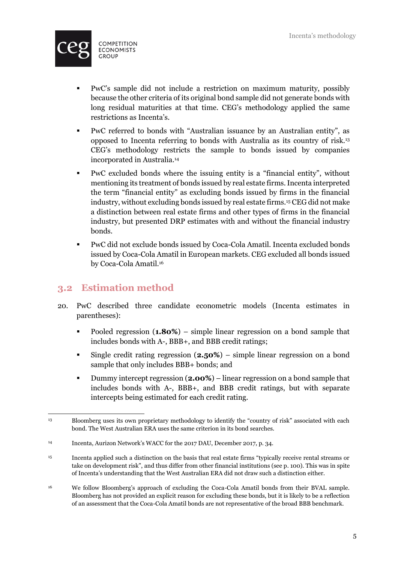

- PwC's sample did not include a restriction on maximum maturity, possibly because the other criteria of its original bond sample did not generate bonds with long residual maturities at that time. CEG's methodology applied the same restrictions as Incenta's.
- PwC referred to bonds with "Australian issuance by an Australian entity", as opposed to Incenta referring to bonds with Australia as its country of risk.<sup>13</sup> CEG's methodology restricts the sample to bonds issued by companies incorporated in Australia.<sup>14</sup>
- PwC excluded bonds where the issuing entity is a "financial entity", without mentioning its treatment of bonds issued by real estate firms. Incenta interpreted the term "financial entity" as excluding bonds issued by firms in the financial industry, without excluding bonds issued by real estate firms.<sup>15</sup> CEG did not make a distinction between real estate firms and other types of firms in the financial industry, but presented DRP estimates with and without the financial industry bonds.
- PwC did not exclude bonds issued by Coca-Cola Amatil. Incenta excluded bonds issued by Coca-Cola Amatil in European markets. CEG excluded all bonds issued by Coca-Cola Amatil.<sup>16</sup>

# <span id="page-9-0"></span>**3.2 Estimation method**

- 20. PwC described three candidate econometric models (Incenta estimates in parentheses):
	- Pooled regression (**1.80%**) simple linear regression on a bond sample that includes bonds with A-, BBB+, and BBB credit ratings;
	- Single credit rating regression (**2.50%**) simple linear regression on a bond sample that only includes BBB+ bonds; and
	- Dummy intercept regression (**2.00%**) linear regression on a bond sample that includes bonds with A-, BBB+, and BBB credit ratings, but with separate intercepts being estimated for each credit rating.

 $\overline{a}$ <sup>13</sup> Bloomberg uses its own proprietary methodology to identify the "country of risk" associated with each bond. The West Australian ERA uses the same criterion in its bond searches.

<sup>14</sup> Incenta, Aurizon Network's WACC for the 2017 DAU, December 2017, p. 34.

<sup>15</sup> Incenta applied such a distinction on the basis that real estate firms "typically receive rental streams or take on development risk", and thus differ from other financial institutions (see p. 100). This was in spite of Incenta's understanding that the West Australian ERA did not draw such a distinction either.

<sup>16</sup> We follow Bloomberg's approach of excluding the Coca-Cola Amatil bonds from their BVAL sample. Bloomberg has not provided an explicit reason for excluding these bonds, but it is likely to be a reflection of an assessment that the Coca-Cola Amatil bonds are not representative of the broad BBB benchmark.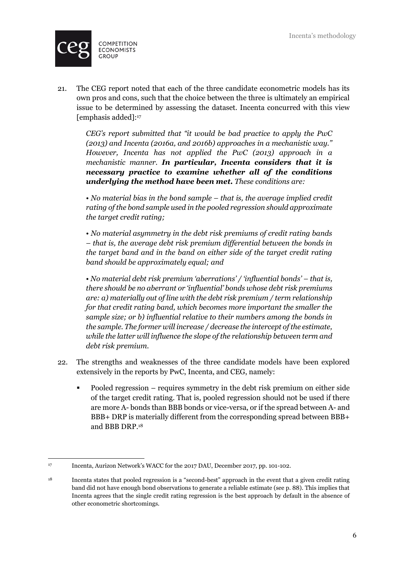

21. The CEG report noted that each of the three candidate econometric models has its own pros and cons, such that the choice between the three is ultimately an empirical issue to be determined by assessing the dataset. Incenta concurred with this view [emphasis added]:<sup>17</sup>

*CEG's report submitted that "it would be bad practice to apply the PwC (2013) and Incenta (2016a, and 2016b) approaches in a mechanistic way." However, Incenta has not applied the PwC (2013) approach in a mechanistic manner. In particular, Incenta considers that it is necessary practice to examine whether all of the conditions underlying the method have been met. These conditions are:*

*• No material bias in the bond sample – that is, the average implied credit rating of the bond sample used in the pooled regression should approximate the target credit rating;*

*• No material asymmetry in the debt risk premiums of credit rating bands – that is, the average debt risk premium differential between the bonds in the target band and in the band on either side of the target credit rating band should be approximately equal; and*

*• No material debt risk premium 'aberrations' / 'influential bonds' – that is, there should be no aberrant or 'influential' bonds whose debt risk premiums are: a) materially out of line with the debt risk premium / term relationship for that credit rating band, which becomes more important the smaller the sample size; or b) influential relative to their numbers among the bonds in the sample. The former will increase / decrease the intercept of the estimate, while the latter will influence the slope of the relationship between term and debt risk premium.*

- 22. The strengths and weaknesses of the three candidate models have been explored extensively in the reports by PwC, Incenta, and CEG, namely:
	- Pooled regression requires symmetry in the debt risk premium on either side of the target credit rating. That is, pooled regression should not be used if there are more A- bonds than BBB bonds or vice-versa, or if the spread between A- and BBB+ DRP is materially different from the corresponding spread between BBB+ and BBB DRP.<sup>18</sup>

**<sup>.</sup>** <sup>17</sup> Incenta, Aurizon Network's WACC for the 2017 DAU, December 2017, pp. 101-102.

<sup>&</sup>lt;sup>18</sup> Incenta states that pooled regression is a "second-best" approach in the event that a given credit rating band did not have enough bond observations to generate a reliable estimate (see p. 88). This implies that Incenta agrees that the single credit rating regression is the best approach by default in the absence of other econometric shortcomings.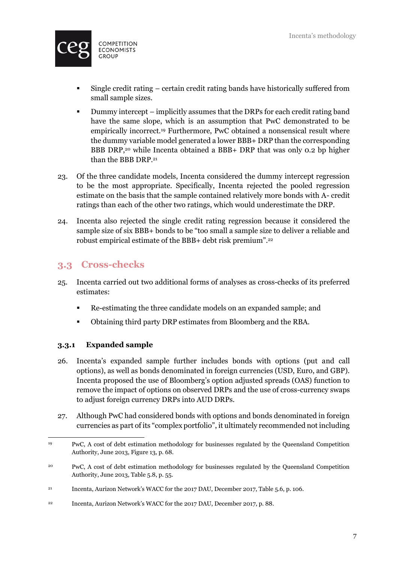

- Single credit rating certain credit rating bands have historically suffered from small sample sizes.
- Dummy intercept implicitly assumes that the DRPs for each credit rating band have the same slope, which is an assumption that PwC demonstrated to be empirically incorrect.<sup>19</sup> Furthermore, PwC obtained a nonsensical result where the dummy variable model generated a lower BBB+ DRP than the corresponding BBB DRP,<sup>20</sup> while Incenta obtained a BBB+ DRP that was only 0.2 bp higher than the BBB DRP.<sup>21</sup>
- 23. Of the three candidate models, Incenta considered the dummy intercept regression to be the most appropriate. Specifically, Incenta rejected the pooled regression estimate on the basis that the sample contained relatively more bonds with A- credit ratings than each of the other two ratings, which would underestimate the DRP.
- 24. Incenta also rejected the single credit rating regression because it considered the sample size of six BBB+ bonds to be "too small a sample size to deliver a reliable and robust empirical estimate of the BBB+ debt risk premium".<sup>22</sup>

# <span id="page-11-0"></span>**3.3 Cross-checks**

- 25. Incenta carried out two additional forms of analyses as cross-checks of its preferred estimates:
	- Re-estimating the three candidate models on an expanded sample; and
	- Obtaining third party DRP estimates from Bloomberg and the RBA.

#### **3.3.1 Expanded sample**

- 26. Incenta's expanded sample further includes bonds with options (put and call options), as well as bonds denominated in foreign currencies (USD, Euro, and GBP). Incenta proposed the use of Bloomberg's option adjusted spreads (OAS) function to remove the impact of options on observed DRPs and the use of cross-currency swaps to adjust foreign currency DRPs into AUD DRPs.
- 27. Although PwC had considered bonds with options and bonds denominated in foreign currencies as part of its "complex portfolio", it ultimately recommended not including

 $\overline{a}$ <sup>19</sup> PwC, A cost of debt estimation methodology for businesses regulated by the Queensland Competition Authority, June 2013, Figure 13, p. 68.

<sup>&</sup>lt;sup>20</sup> PwC, A cost of debt estimation methodology for businesses regulated by the Queensland Competition Authority, June 2013, Table 5.8, p. 55.

<sup>&</sup>lt;sup>21</sup> Incenta, Aurizon Network's WACC for the 2017 DAU, December 2017, Table 5.6, p. 106.

<sup>22</sup> Incenta, Aurizon Network's WACC for the 2017 DAU, December 2017, p. 88.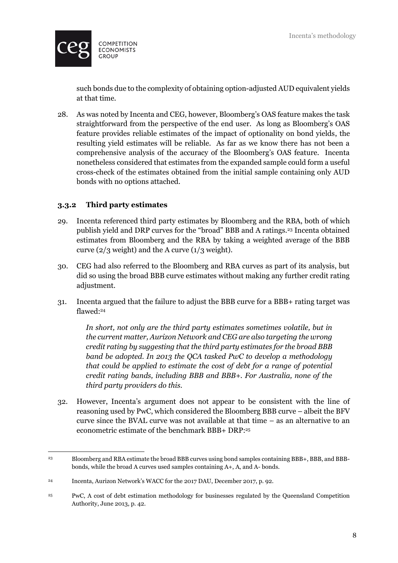

such bonds due to the complexity of obtaining option-adjusted AUD equivalent yields at that time.

28. As was noted by Incenta and CEG, however, Bloomberg's OAS feature makes the task straightforward from the perspective of the end user. As long as Bloomberg's OAS feature provides reliable estimates of the impact of optionality on bond yields, the resulting yield estimates will be reliable. As far as we know there has not been a comprehensive analysis of the accuracy of the Bloomberg's OAS feature. Incenta nonetheless considered that estimates from the expanded sample could form a useful cross-check of the estimates obtained from the initial sample containing only AUD bonds with no options attached.

#### <span id="page-12-0"></span>**3.3.2 Third party estimates**

- 29. Incenta referenced third party estimates by Bloomberg and the RBA, both of which publish yield and DRP curves for the "broad" BBB and A ratings.<sup>23</sup> Incenta obtained estimates from Bloomberg and the RBA by taking a weighted average of the BBB curve  $\left(\frac{2}{3}\right)$  weight) and the A curve  $\left(\frac{1}{3}\right)$  weight).
- 30. CEG had also referred to the Bloomberg and RBA curves as part of its analysis, but did so using the broad BBB curve estimates without making any further credit rating adjustment.
- 31. Incenta argued that the failure to adjust the BBB curve for a BBB+ rating target was flawed:<sup>24</sup>

In short, not only are the third party estimates sometimes volatile, but in *the current matter, Aurizon Network and CEG are also targeting the wrong credit rating by suggesting that the third party estimates for the broad BBB band be adopted. In 2013 the QCA tasked PwC to develop a methodology that could be applied to estimate the cost of debt for a range of potential credit rating bands, including BBB and BBB+. For Australia, none of the third party providers do this.*

32. However, Incenta's argument does not appear to be consistent with the line of reasoning used by PwC, which considered the Bloomberg BBB curve – albeit the BFV curve since the BVAL curve was not available at that time – as an alternative to an econometric estimate of the benchmark BBB+ DRP:<sup>25</sup>

 $\overline{a}$ <sup>23</sup> Bloomberg and RBA estimate the broad BBB curves using bond samples containing BBB+, BBB, and BBBbonds, while the broad A curves used samples containing A+, A, and A- bonds.

<sup>24</sup> Incenta, Aurizon Network's WACC for the 2017 DAU, December 2017, p. 92.

<sup>&</sup>lt;sup>25</sup> PwC, A cost of debt estimation methodology for businesses regulated by the Queensland Competition Authority, June 2013, p. 42.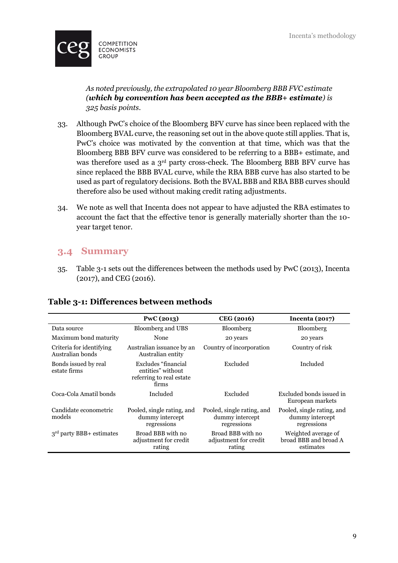

*As noted previously, the extrapolated 10 year Bloomberg BBB FVC estimate (which by convention has been accepted as the BBB+ estimate) is 325 basis points.*

- 33. Although PwC's choice of the Bloomberg BFV curve has since been replaced with the Bloomberg BVAL curve, the reasoning set out in the above quote still applies. That is, PwC's choice was motivated by the convention at that time, which was that the Bloomberg BBB BFV curve was considered to be referring to a BBB+ estimate, and was therefore used as a 3rd party cross-check. The Bloomberg BBB BFV curve has since replaced the BBB BVAL curve, while the RBA BBB curve has also started to be used as part of regulatory decisions. Both the BVAL BBB and RBA BBB curves should therefore also be used without making credit rating adjustments.
- 34. We note as well that Incenta does not appear to have adjusted the RBA estimates to account the fact that the effective tenor is generally materially shorter than the 10 year target tenor.

### <span id="page-13-0"></span>**3.4 Summary**

35. [Table 3-1](#page-13-1) sets out the differences between the methods used by PwC (2013), Incenta (2017), and CEG (2016).

|                                              | PWC(2013)                                                                     | CEG (2016)                                                   | Incenta $(2017)$                                             |
|----------------------------------------------|-------------------------------------------------------------------------------|--------------------------------------------------------------|--------------------------------------------------------------|
| Data source                                  | Bloomberg and UBS                                                             | Bloomberg                                                    | <b>Bloomberg</b>                                             |
| Maximum bond maturity                        | None                                                                          | 20 years                                                     | 20 years                                                     |
| Criteria for identifying<br>Australian bonds | Australian issuance by an<br>Australian entity                                | Country of incorporation                                     | Country of risk                                              |
| Bonds issued by real<br>estate firms         | Excludes "financial<br>entities" without<br>referring to real estate<br>firms | Excluded                                                     | Included                                                     |
| Coca-Cola Amatil bonds                       | Included                                                                      | Excluded                                                     | Excluded bonds issued in<br>European markets                 |
| Candidate econometric<br>models              | Pooled, single rating, and<br>dummy intercept<br>regressions                  | Pooled, single rating, and<br>dummy intercept<br>regressions | Pooled, single rating, and<br>dummy intercept<br>regressions |
| $3rd$ party BBB+ estimates                   | Broad BBB with no<br>adjustment for credit<br>rating                          | Broad BBB with no<br>adjustment for credit<br>rating         | Weighted average of<br>broad BBB and broad A<br>estimates    |

#### <span id="page-13-1"></span>**Table 3-1: Differences between methods**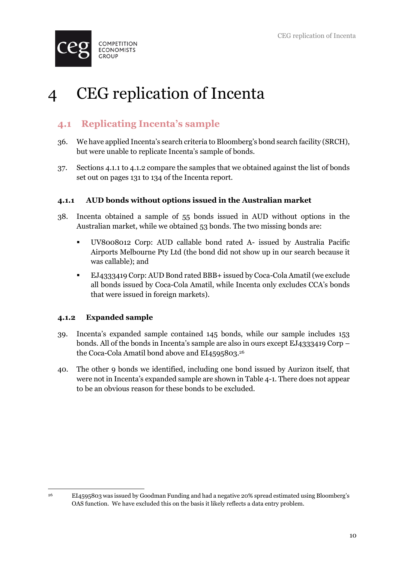**COMPETITION ECONOMISTS GROUP** 

# <span id="page-14-0"></span>4 CEG replication of Incenta

# <span id="page-14-1"></span>**4.1 Replicating Incenta's sample**

- 36. We have applied Incenta's search criteria to Bloomberg's bond search facility (SRCH), but were unable to replicate Incenta's sample of bonds.
- 37. Sections [4.1.1](#page-14-2) to [4.1.2](#page-14-3) compare the samples that we obtained against the list of bonds set out on pages 131 to 134 of the Incenta report.

#### <span id="page-14-2"></span>**4.1.1 AUD bonds without options issued in the Australian market**

- 38. Incenta obtained a sample of 55 bonds issued in AUD without options in the Australian market, while we obtained 53 bonds. The two missing bonds are:
	- UV8008012 Corp: AUD callable bond rated A- issued by Australia Pacific Airports Melbourne Pty Ltd (the bond did not show up in our search because it was callable); and
	- EJ4333419 Corp: AUD Bond rated BBB+ issued by Coca-Cola Amatil (we exclude all bonds issued by Coca-Cola Amatil, while Incenta only excludes CCA's bonds that were issued in foreign markets).

#### <span id="page-14-3"></span>**4.1.2 Expanded sample**

- 39. Incenta's expanded sample contained 145 bonds, while our sample includes 153 bonds. All of the bonds in Incenta's sample are also in ours except EJ4333419 Corp – the Coca-Cola Amatil bond above and EI4595803. 26
- 40. The other 9 bonds we identified, including one bond issued by Aurizon itself, that were not in Incenta's expanded sample are shown in [Table 4-1.](#page-15-0) There does not appear to be an obvious reason for these bonds to be excluded.

**.** <sup>26</sup> EI4595803 was issued by Goodman Funding and had a negative 20% spread estimated using Bloomberg's OAS function. We have excluded this on the basis it likely reflects a data entry problem.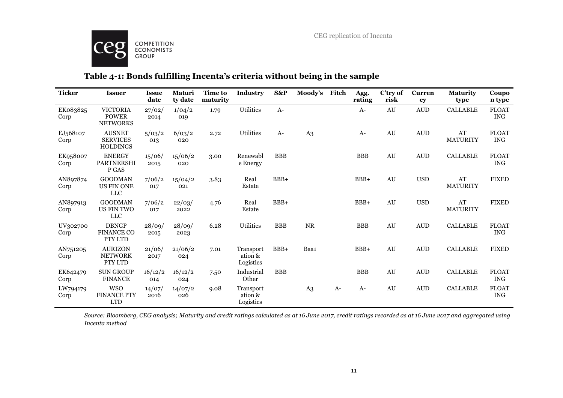

#### **Table 4-1: Bonds fulfilling Incenta's criteria without being in the sample**

| <b>Ticker</b>    | <b>Issuer</b>                                       | Issue<br>date  | Maturi<br>ty date | <b>Time to</b><br>maturity | <b>Industry</b>                   | S&P        | Moody's        | Fitch | Agg.<br>rating | C'try of<br>risk | <b>Curren</b><br>cy | <b>Maturity</b><br>type | Coupo<br>n type            |
|------------------|-----------------------------------------------------|----------------|-------------------|----------------------------|-----------------------------------|------------|----------------|-------|----------------|------------------|---------------------|-------------------------|----------------------------|
| EK083825<br>Corp | <b>VICTORIA</b><br><b>POWER</b><br><b>NETWORKS</b>  | 27/02/<br>2014 | 1/04/2<br>019     | 1.79                       | Utilities                         | $A-$       |                |       | $A-$           | AU               | $\hbox{AUD}$        | <b>CALLABLE</b>         | <b>FLOAT</b><br><b>ING</b> |
| EJ568107<br>Corp | <b>AUSNET</b><br><b>SERVICES</b><br><b>HOLDINGS</b> | 5/03/2<br>013  | 6/03/2<br>020     | 2.72                       | Utilities                         | $A-$       | A <sub>3</sub> |       | $A-$           | AU               | $\mbox{AUD}$        | AT<br><b>MATURITY</b>   | <b>FLOAT</b><br><b>ING</b> |
| EK958007<br>Corp | <b>ENERGY</b><br><b>PARTNERSHI</b><br>P GAS         | 15/06/<br>2015 | 15/06/2<br>020    | 3.00                       | Renewabl<br>e Energy              | <b>BBB</b> |                |       | <b>BBB</b>     | AU               | $\mbox{AUD}$        | <b>CALLABLE</b>         | <b>FLOAT</b><br><b>ING</b> |
| AN897874<br>Corp | <b>GOODMAN</b><br><b>US FIN ONE</b><br>${\rm LLC}$  | 7/06/2<br>017  | 15/04/2<br>021    | 3.83                       | Real<br>Estate                    | $BBB+$     |                |       | $BBB+$         | AU               | <b>USD</b>          | AT<br><b>MATURITY</b>   | <b>FIXED</b>               |
| AN897913<br>Corp | <b>GOODMAN</b><br>US FIN TWO<br>${\rm LLC}$         | 7/06/2<br>017  | 22/03/<br>2022    | 4.76                       | Real<br>Estate                    | $BBB+$     |                |       | $BBB+$         | AU               | <b>USD</b>          | AT<br><b>MATURITY</b>   | <b>FIXED</b>               |
| UV302700<br>Corp | <b>DBNGP</b><br><b>FINANCE CO</b><br>PTY LTD        | 28/09/<br>2015 | 28/09/<br>2023    | 6.28                       | <b>Utilities</b>                  | <b>BBB</b> | <b>NR</b>      |       | <b>BBB</b>     | AU               | $\mbox{AUD}$        | <b>CALLABLE</b>         | <b>FLOAT</b><br><b>ING</b> |
| AN751205<br>Corp | <b>AURIZON</b><br><b>NETWORK</b><br>PTY LTD         | 21/06/<br>2017 | 21/06/2<br>024    | 7.01                       | Transport<br>ation &<br>Logistics | $BBB+$     | Baa1           |       | $BBB+$         | AU               | <b>AUD</b>          | <b>CALLABLE</b>         | <b>FIXED</b>               |
| EK642479<br>Corp | <b>SUN GROUP</b><br><b>FINANCE</b>                  | 16/12/2<br>014 | 16/12/2<br>024    | 7.50                       | Industrial<br>Other               | <b>BBB</b> |                |       | <b>BBB</b>     | AU               | $\mbox{AUD}$        | <b>CALLABLE</b>         | <b>FLOAT</b><br><b>ING</b> |
| LW794179<br>Corp | <b>WSO</b><br><b>FINANCE PTY</b><br><b>LTD</b>      | 14/07/<br>2016 | 14/07/2<br>026    | 9.08                       | Transport<br>ation &<br>Logistics |            | A <sub>3</sub> | $A-$  | $A-$           | AU               | $\mbox{AUD}$        | <b>CALLABLE</b>         | <b>FLOAT</b><br><b>ING</b> |

<span id="page-15-0"></span>*Source: Bloomberg, CEG analysis; Maturity and credit ratings calculated as at 16 June 2017, credit ratings recorded as at 16 June 2017 and aggregated using Incenta method*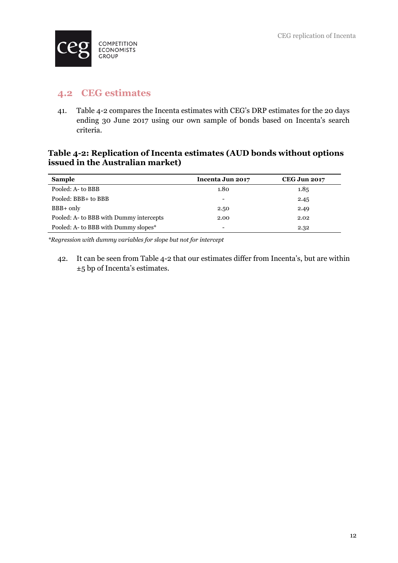

### <span id="page-16-0"></span>**4.2 CEG estimates**

41. [Table 4-2](#page-16-1) compares the Incenta estimates with CEG's DRP estimates for the 20 days ending 30 June 2017 using our own sample of bonds based on Incenta's search criteria.

#### <span id="page-16-1"></span>**Table 4-2: Replication of Incenta estimates (AUD bonds without options issued in the Australian market)**

| <b>Sample</b>                           | Incenta Jun 2017         | CEG Jun 2017 |
|-----------------------------------------|--------------------------|--------------|
| Pooled: A- to BBB                       | 1.80                     | 1.85         |
| Pooled: BBB+ to BBB                     | -                        | 2.45         |
| $BBB+$ only                             | 2.50                     | 2.49         |
| Pooled: A- to BBB with Dummy intercepts | 2.00                     | 2.02         |
| Pooled: A- to BBB with Dummy slopes*    | $\overline{\phantom{a}}$ | 2.32         |

*\*Regression with dummy variables for slope but not for intercept*

42. It can be seen from [Table 4-2](#page-16-1) that our estimates differ from Incenta's, but are within  $\pm$ <sub>5</sub> bp of Incenta's estimates.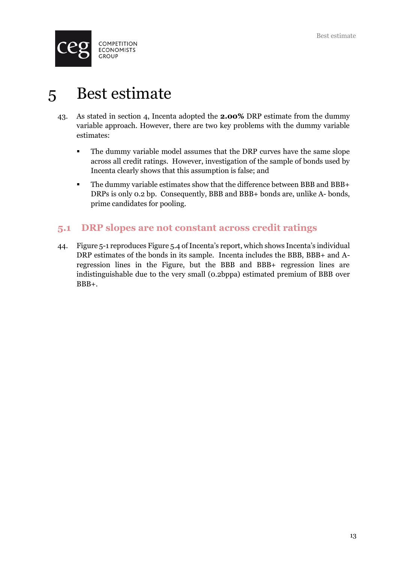

# <span id="page-17-0"></span>5 Best estimate

- 43. As stated in section [4,](#page-14-0) Incenta adopted the **2.00%** DRP estimate from the dummy variable approach. However, there are two key problems with the dummy variable estimates:
	- The dummy variable model assumes that the DRP curves have the same slope across all credit ratings. However, investigation of the sample of bonds used by Incenta clearly shows that this assumption is false; and
	- The dummy variable estimates show that the difference between BBB and BBB+ DRPs is only 0.2 bp. Consequently, BBB and BBB+ bonds are, unlike A- bonds, prime candidates for pooling.

### <span id="page-17-1"></span>**5.1 DRP slopes are not constant across credit ratings**

44. [Figure 5-1](#page-18-0) reproduces Figure 5.4 of Incenta's report, which shows Incenta's individual DRP estimates of the bonds in its sample. Incenta includes the BBB, BBB+ and Aregression lines in the Figure, but the BBB and BBB+ regression lines are indistinguishable due to the very small (0.2bppa) estimated premium of BBB over BBB+.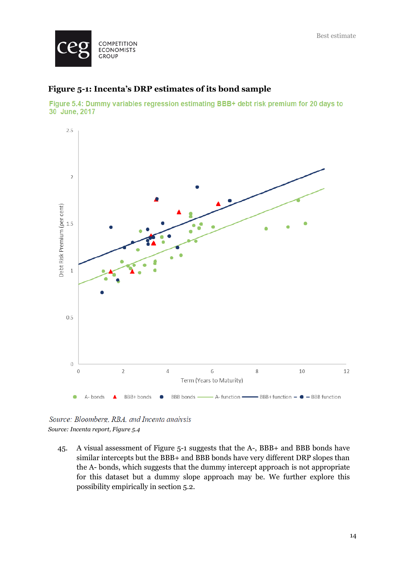Best estimate



#### <span id="page-18-0"></span>**Figure 5-1: Incenta's DRP estimates of its bond sample**

Figure 5.4: Dummy variables regression estimating BBB+ debt risk premium for 20 days to 30 June, 2017



Source: Bloomberg, RBA, and Incenta analysis *Source: Incenta report, Figure 5.4*

45. A visual assessment of [Figure 5-1](#page-18-0) suggests that the A-, BBB+ and BBB bonds have similar intercepts but the BBB+ and BBB bonds have very different DRP slopes than the A- bonds, which suggests that the dummy intercept approach is not appropriate for this dataset but a dummy slope approach may be. We further explore this possibility empirically in section [5.2.](#page-19-0)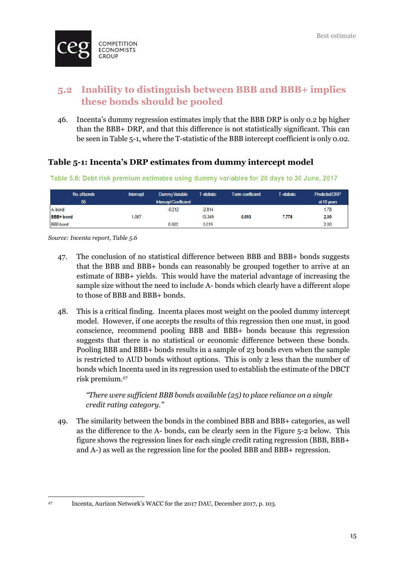

# <span id="page-19-0"></span>**5.2 Inability to distinguish between BBB and BBB+ implies these bonds should be pooled**

46. Incenta's dummy regression estimates imply that the BBB DRP is only 0.2 bp higher than the BBB+ DRP, and that this difference is not statistically significant. This can be seen i[n Table 5-1,](#page-19-1) where the T-statistic of the BBB intercept coefficient is only 0.02.

### <span id="page-19-1"></span>**Table 5-1: Incenta's DRP estimates from dummy intercept model**

Table 5.6: Debt risk premium estimates using dummy variables for 20 days to 30 June, 2017

| No. of bonds     | <b>Intercept</b> | Dummy Variable               | T-statistic | Term coefficient | T-statistic | <b>Predicted DRP</b> |
|------------------|------------------|------------------------------|-------------|------------------|-------------|----------------------|
| 55               |                  | <b>Intercept Coefficient</b> |             |                  |             | at 10 years          |
| A-bond           |                  | $-0.212$                     | $-2.814$    |                  |             | 1.78                 |
| <b>BBB+</b> bond | 1.067            |                              | 13.349      | 0.093            | 7.778       | 2.00                 |
| <b>BBB</b> bond  |                  | 0.002                        | 0.019       |                  |             | 2.00                 |

*Source: Incenta report, Table 5.6*

- 47. The conclusion of no statistical difference between BBB and BBB+ bonds suggests that the BBB and BBB+ bonds can reasonably be grouped together to arrive at an estimate of BBB+ yields. This would have the material advantage of increasing the sample size without the need to include A- bonds which clearly have a different slope to those of BBB and BBB+ bonds.
- 48. This is a critical finding. Incenta places most weight on the pooled dummy intercept model. However, if one accepts the results of this regression then one must, in good conscience, recommend pooling BBB and BBB+ bonds because this regression suggests that there is no statistical or economic difference between these bonds. Pooling BBB and BBB+ bonds results in a sample of 23 bonds even when the sample is restricted to AUD bonds without options. This is only 2 less than the number of bonds which Incenta used in its regression used to establish the estimate of the DBCT risk premium.<sup>27</sup>

*"There were sufficient BBB bonds available (25) to place reliance on a single credit rating category."*

49. The similarity between the bonds in the combined BBB and BBB+ categories, as well as the difference to the A- bonds, can be clearly seen in the [Figure 5-2](#page-20-0) below. This figure shows the regression lines for each single credit rating regression (BBB, BBB+ and A-) as well as the regression line for the pooled BBB and BBB+ regression.

 $\overline{a}$ 

<sup>27</sup> Incenta, Aurizon Network's WACC for the 2017 DAU, December 2017, p. 103.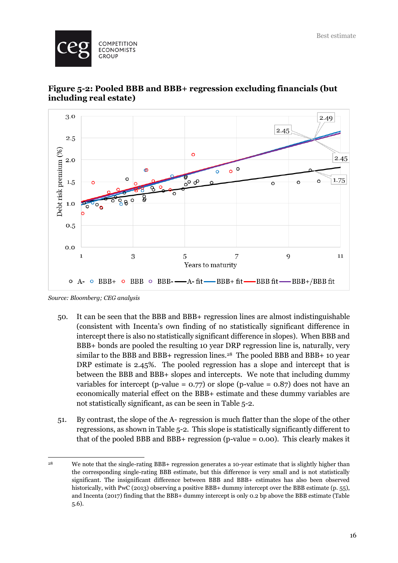



<span id="page-20-0"></span>**Figure 5-2: Pooled BBB and BBB+ regression excluding financials (but including real estate)**

*Source: Bloomberg; CEG analysis*

- 50. It can be seen that the BBB and BBB+ regression lines are almost indistinguishable (consistent with Incenta's own finding of no statistically significant difference in intercept there is also no statistically significant difference in slopes). When BBB and BBB+ bonds are pooled the resulting 10 year DRP regression line is, naturally, very similar to the BBB and BBB+ regression lines.<sup>28</sup> The pooled BBB and BBB+ 10 year DRP estimate is 2.45%. The pooled regression has a slope and intercept that is between the BBB and BBB+ slopes and intercepts. We note that including dummy variables for intercept (p-value =  $0.77$ ) or slope (p-value =  $0.87$ ) does not have an economically material effect on the BBB+ estimate and these dummy variables are not statistically significant, as can be seen in [Table 5-2.](#page-21-0)
- 51. By contrast, the slope of the A- regression is much flatter than the slope of the other regressions, as shown in [Table 5-2.](#page-21-0) This slope is statistically significantly different to that of the pooled BBB and BBB+ regression (p-value = 0.00). This clearly makes it

<sup>28</sup> We note that the single-rating BBB+ regression generates a 10-year estimate that is slightly higher than the corresponding single-rating BBB estimate, but this difference is very small and is not statistically significant. The insignificant difference between BBB and BBB+ estimates has also been observed historically, with PwC (2013) observing a positive BBB+ dummy intercept over the BBB estimate (p. 55), and Incenta (2017) finding that the BBB+ dummy intercept is only 0.2 bp above the BBB estimate (Table 5.6).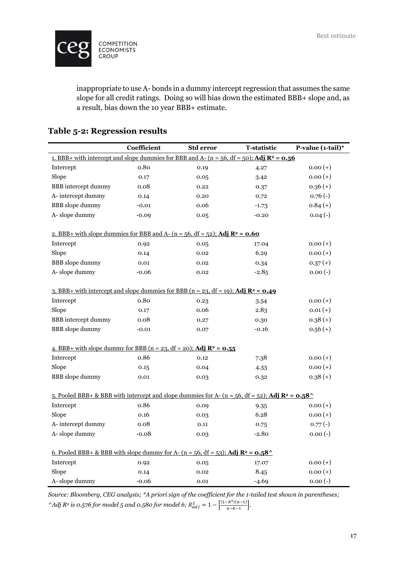

inappropriate to use A- bonds in a dummy intercept regression that assumes the same slope for all credit ratings. Doing so will bias down the estimated BBB+ slope and, as a result, bias down the 10 year BBB+ estimate.

<span id="page-21-0"></span>

|  |  | <b>Table 5-2: Regression results</b> |  |
|--|--|--------------------------------------|--|
|--|--|--------------------------------------|--|

|                                                                                                                       | Coefficient | Std error | <b>T-statistic</b> | P-value (1-tail)* |  |  |  |
|-----------------------------------------------------------------------------------------------------------------------|-------------|-----------|--------------------|-------------------|--|--|--|
| 1. BBB+ with intercept and slope dummies for BBB and A- ( $n = 56$ , df = 50); Adj $\mathbb{R}^2 = 0.56$              |             |           |                    |                   |  |  |  |
| Intercept                                                                                                             | 0.80        | 0.19      | 4.27               | $0.00(+)$         |  |  |  |
| Slope                                                                                                                 | 0.17        | 0.05      | 3.42               | $0.00(+)$         |  |  |  |
| BBB intercept dummy                                                                                                   | 0.08        | 0.22      | 0.37               | $0.36(+)$         |  |  |  |
| A-intercept dummy                                                                                                     | 0.14        | 0.20      | 0.72               | $0.76(-)$         |  |  |  |
| <b>BBB</b> slope dummy                                                                                                | $-0.01$     | 0.06      | $-1.73$            | $0.84(+)$         |  |  |  |
| A-slope dummy                                                                                                         | $-0.09$     | 0.05      | $-0.20$            | $0.04(-)$         |  |  |  |
| 2. BBB+ with slope dummies for BBB and A- $(n = 56, df = 52)$ ; Adj $R^2 = 0.60$                                      |             |           |                    |                   |  |  |  |
| Intercept                                                                                                             | 0.92        | 0.05      | 17.04              | $0.00 (+)$        |  |  |  |
| Slope                                                                                                                 | 0.14        | 0.02      | 6.29               | $0.00 (+)$        |  |  |  |
| <b>BBB</b> slope dummy                                                                                                | 0.01        | 0.02      | 0.34               | $0.37(+)$         |  |  |  |
| A-slope dummy                                                                                                         | $-0.06$     | 0.02      | $-2.85$            | $0.00(-)$         |  |  |  |
|                                                                                                                       |             |           |                    |                   |  |  |  |
| 3. BBB+ with intercept and slope dummies for BBB ( $n = 23$ , df = 19); Adj $R^2 = 0.49$                              |             |           |                    |                   |  |  |  |
| Intercept                                                                                                             | 0.80        | 0.23      | 3.54               | $0.00(+)$         |  |  |  |
| Slope                                                                                                                 | 0.17        | 0.06      | 2.83               | $0.01(+)$         |  |  |  |
| <b>BBB</b> intercept dummy                                                                                            | 0.08        | 0.27      | 0.30               | $0.38(+)$         |  |  |  |
| <b>BBB</b> slope dummy                                                                                                | $-0.01$     | 0.07      | $-0.16$            | $0.56(+)$         |  |  |  |
| 4. BBB+ with slope dummy for BBB ( $n = 23$ , df = 20); Adj $R^2 = 0.55$                                              |             |           |                    |                   |  |  |  |
| Intercept                                                                                                             | 0.86        | 0.12      | 7.38               | $0.00(+)$         |  |  |  |
| Slope                                                                                                                 | 0.15        | 0.04      | 4.33               | $0.00(+)$         |  |  |  |
| <b>BBB</b> slope dummy                                                                                                | 0.01        | 0.03      | 0.32               | $0.38(+)$         |  |  |  |
|                                                                                                                       |             |           |                    |                   |  |  |  |
| 5. Pooled BBB+ & BBB with intercept and slope dummies for A- (n = 56, df = 52); Adj $\mathbb{R}^2 = 0.58^\circ$       |             |           |                    |                   |  |  |  |
| Intercept                                                                                                             | 0.86        | 0.09      | 9.35               | $0.00(+)$         |  |  |  |
| Slope                                                                                                                 | 0.16        | 0.03      | 6.28               | $0.00 (+)$        |  |  |  |
| A-intercept dummy                                                                                                     | 0.08        | 0.11      | 0.75               | $0.77(-)$         |  |  |  |
| A-slope dummy                                                                                                         | $-0.08$     | 0.03      | $-2.80$            | $0.00(-)$         |  |  |  |
|                                                                                                                       |             |           |                    |                   |  |  |  |
| <u>6. Pooled BBB+ &amp; BBB with slope dummy for A- (n = 56, df = 53); Adj <math>\mathbb{R}^2 = 0.58^\circ</math></u> |             |           |                    |                   |  |  |  |
| Intercept                                                                                                             | 0.92        | 0.05      | 17.07              | $0.00 (+)$        |  |  |  |
| Slope                                                                                                                 | 0.14        | 0.02      | 8.45               | $0.00(+)$         |  |  |  |
| A-slope dummy                                                                                                         | $-0.06$     | 0.01      | $-4.69$            | $0.00(-)$         |  |  |  |

*Source: Bloomberg, CEG analysis; \*A priori sign of the coefficient for the 1-tailed test shown in parentheses; ^Adj R<sup>2</sup> is 0.576 for model 5 and 0.580 for model 6;*  $R_{adj}^2 = 1 - \frac{(1-R^2)(n-1)}{n-k-1}$  $\frac{n(n-1)}{n-k-1}$ .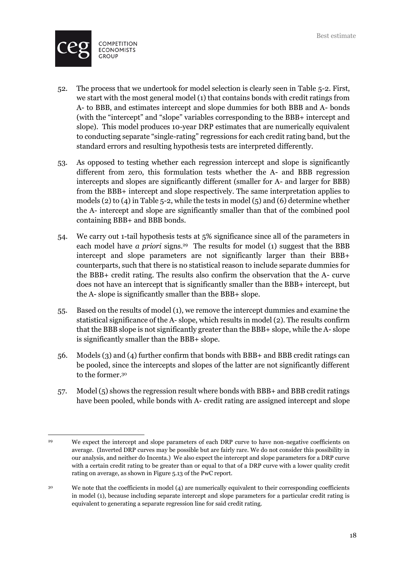

- 52. The process that we undertook for model selection is clearly seen in [Table 5-2.](#page-21-0) First, we start with the most general model (1) that contains bonds with credit ratings from A- to BBB, and estimates intercept and slope dummies for both BBB and A- bonds (with the "intercept" and "slope" variables corresponding to the BBB+ intercept and slope). This model produces 10-year DRP estimates that are numerically equivalent to conducting separate "single-rating" regressions for each credit rating band, but the standard errors and resulting hypothesis tests are interpreted differently.
- 53. As opposed to testing whether each regression intercept and slope is significantly different from zero, this formulation tests whether the A- and BBB regression intercepts and slopes are significantly different (smaller for A- and larger for BBB) from the BBB+ intercept and slope respectively. The same interpretation applies to models (2) to (4) in [Table 5-2,](#page-21-0) while the tests in model (5) and (6) determine whether the A- intercept and slope are significantly smaller than that of the combined pool containing BBB+ and BBB bonds.
- 54. We carry out 1-tail hypothesis tests at 5% significance since all of the parameters in each model have *a priori* signs.<sup>29</sup> The results for model (1) suggest that the BBB intercept and slope parameters are not significantly larger than their BBB+ counterparts, such that there is no statistical reason to include separate dummies for the BBB+ credit rating. The results also confirm the observation that the A- curve does not have an intercept that is significantly smaller than the BBB+ intercept, but the A- slope is significantly smaller than the BBB+ slope.
- 55. Based on the results of model (1), we remove the intercept dummies and examine the statistical significance of the A- slope, which results in model (2). The results confirm that the BBB slope is not significantly greater than the BBB+ slope, while the A- slope is significantly smaller than the BBB+ slope.
- 56. Models (3) and (4) further confirm that bonds with BBB+ and BBB credit ratings can be pooled, since the intercepts and slopes of the latter are not significantly different to the former.<sup>30</sup>
- 57. Model (5) shows the regression result where bonds with BBB+ and BBB credit ratings have been pooled, while bonds with A- credit rating are assigned intercept and slope

**<sup>.</sup>** <sup>29</sup> We expect the intercept and slope parameters of each DRP curve to have non-negative coefficients on average. (Inverted DRP curves may be possible but are fairly rare. We do not consider this possibility in our analysis, and neither do Incenta.) We also expect the intercept and slope parameters for a DRP curve with a certain credit rating to be greater than or equal to that of a DRP curve with a lower quality credit rating on average, as shown in Figure 5.13 of the PwC report.

<sup>&</sup>lt;sup>30</sup> We note that the coefficients in model (4) are numerically equivalent to their corresponding coefficients in model (1), because including separate intercept and slope parameters for a particular credit rating is equivalent to generating a separate regression line for said credit rating.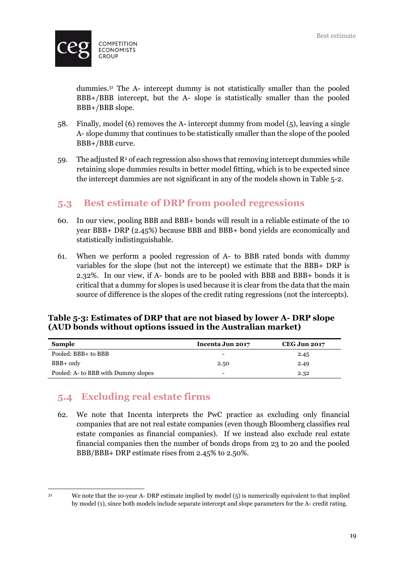

dummies.<sup>31</sup> The A- intercept dummy is not statistically smaller than the pooled BBB+/BBB intercept, but the A- slope is statistically smaller than the pooled BBB+/BBB slope.

- 58. Finally, model (6) removes the A- intercept dummy from model (5), leaving a single A- slope dummy that continues to be statistically smaller than the slope of the pooled BBB+/BBB curve.
- 59. The adjusted  $\mathbb{R}^2$  of each regression also shows that removing intercept dummies while retaining slope dummies results in better model fitting, which is to be expected since the intercept dummies are not significant in any of the models shown in [Table 5-2.](#page-21-0)

### <span id="page-23-0"></span>**5.3 Best estimate of DRP from pooled regressions**

- 60. In our view, pooling BBB and BBB+ bonds will result in a reliable estimate of the 10 year BBB+ DRP (2.45%) because BBB and BBB+ bond yields are economically and statistically indistinguishable.
- 61. When we perform a pooled regression of A- to BBB rated bonds with dummy variables for the slope (but not the intercept) we estimate that the BBB+ DRP is 2.32%. In our view, if A- bonds are to be pooled with BBB and BBB+ bonds it is critical that a dummy for slopes is used because it is clear from the data that the main source of difference is the slopes of the credit rating regressions (not the intercepts).

#### <span id="page-23-2"></span>**Table 5-3: Estimates of DRP that are not biased by lower A- DRP slope (AUD bonds without options issued in the Australian market)**

| <b>Sample</b>                       | Incenta Jun 2017 | <b>CEG Jun 2017</b> |
|-------------------------------------|------------------|---------------------|
| Pooled: BBB+ to BBB                 | -                | 2.45                |
| $BBB+$ only                         | 2.50             | 2.49                |
| Pooled: A- to BBB with Dummy slopes | -                | 2.32                |

# <span id="page-23-1"></span>**5.4 Excluding real estate firms**

62. We note that Incenta interprets the PwC practice as excluding only financial companies that are not real estate companies (even though Bloomberg classifies real estate companies as financial companies). If we instead also exclude real estate financial companies then the number of bonds drops from 23 to 20 and the pooled BBB/BBB+ DRP estimate rises from 2.45% to 2.50%.

**<sup>.</sup>** 

<sup>31</sup> We note that the 10-year A- DRP estimate implied by model (5) is numerically equivalent to that implied by model (1), since both models include separate intercept and slope parameters for the A- credit rating.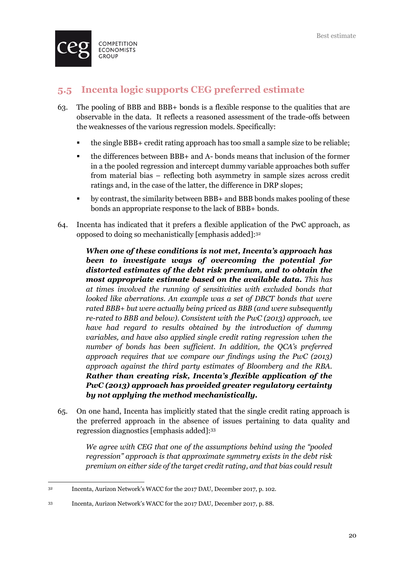

# <span id="page-24-0"></span>**5.5 Incenta logic supports CEG preferred estimate**

- 63. The pooling of BBB and BBB+ bonds is a flexible response to the qualities that are observable in the data. It reflects a reasoned assessment of the trade-offs between the weaknesses of the various regression models. Specifically:
	- the single BBB+ credit rating approach has too small a sample size to be reliable;
	- the differences between BBB+ and A- bonds means that inclusion of the former in a the pooled regression and intercept dummy variable approaches both suffer from material bias – reflecting both asymmetry in sample sizes across credit ratings and, in the case of the latter, the difference in DRP slopes;
	- by contrast, the similarity between BBB+ and BBB bonds makes pooling of these bonds an appropriate response to the lack of BBB+ bonds.
- <span id="page-24-1"></span>64. Incenta has indicated that it prefers a flexible application of the PwC approach, as opposed to doing so mechanistically [emphasis added]:<sup>32</sup>

*When one of these conditions is not met, Incenta's approach has been to investigate ways of overcoming the potential for distorted estimates of the debt risk premium, and to obtain the most appropriate estimate based on the available data. This has at times involved the running of sensitivities with excluded bonds that looked like aberrations. An example was a set of DBCT bonds that were rated BBB+ but were actually being priced as BBB (and were subsequently re-rated to BBB and below). Consistent with the PwC (2013) approach, we have had regard to results obtained by the introduction of dummy variables, and have also applied single credit rating regression when the number of bonds has been sufficient. In addition, the QCA's preferred approach requires that we compare our findings using the PwC (2013) approach against the third party estimates of Bloomberg and the RBA. Rather than creating risk, Incenta's flexible application of the PwC (2013) approach has provided greater regulatory certainty by not applying the method mechanistically.*

65. On one hand, Incenta has implicitly stated that the single credit rating approach is the preferred approach in the absence of issues pertaining to data quality and regression diagnostics [emphasis added]:<sup>33</sup>

*We agree with CEG that one of the assumptions behind using the "pooled regression" approach is that approximate symmetry exists in the debt risk premium on either side of the target credit rating, and that bias could result* 

<sup>1</sup> <sup>32</sup> Incenta, Aurizon Network's WACC for the 2017 DAU, December 2017, p. 102.

<sup>33</sup> Incenta, Aurizon Network's WACC for the 2017 DAU, December 2017, p. 88.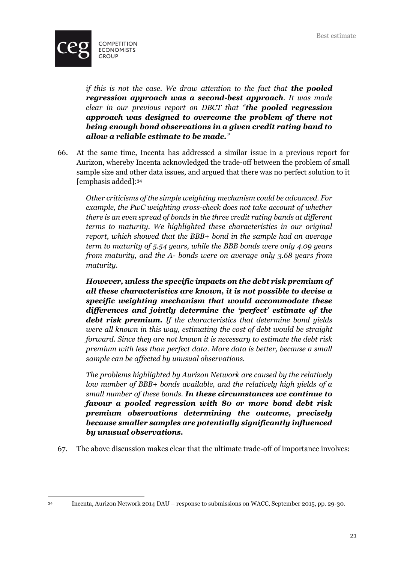

*if this is not the case. We draw attention to the fact that the pooled regression approach was a second-best approach. It was made clear in our previous report on DBCT that "the pooled regression approach was designed to overcome the problem of there not being enough bond observations in a given credit rating band to allow a reliable estimate to be made."*

66. At the same time, Incenta has addressed a similar issue in a previous report for Aurizon, whereby Incenta acknowledged the trade-off between the problem of small sample size and other data issues, and argued that there was no perfect solution to it [emphasis added]:<sup>34</sup>

*Other criticisms of the simple weighting mechanism could be advanced. For example, the PwC weighting cross-check does not take account of whether there is an even spread of bonds in the three credit rating bands at different terms to maturity. We highlighted these characteristics in our original report, which showed that the BBB+ bond in the sample had an average term to maturity of 5.54 years, while the BBB bonds were only 4.09 years from maturity, and the A- bonds were on average only 3.68 years from maturity.* 

*However, unless the specific impacts on the debt risk premium of all these characteristics are known, it is not possible to devise a specific weighting mechanism that would accommodate these differences and jointly determine the 'perfect' estimate of the debt risk premium. If the characteristics that determine bond yields were all known in this way, estimating the cost of debt would be straight forward. Since they are not known it is necessary to estimate the debt risk premium with less than perfect data. More data is better, because a small sample can be affected by unusual observations.*

*The problems highlighted by Aurizon Network are caused by the relatively low number of BBB+ bonds available, and the relatively high yields of a small number of these bonds. In these circumstances we continue to favour a pooled regression with 80 or more bond debt risk premium observations determining the outcome, precisely because smaller samples are potentially significantly influenced by unusual observations.*

67. The above discussion makes clear that the ultimate trade-off of importance involves:

 $\overline{a}$ 

<sup>34</sup> Incenta, Aurizon Network 2014 DAU – response to submissions on WACC, September 2015, pp. 29-30.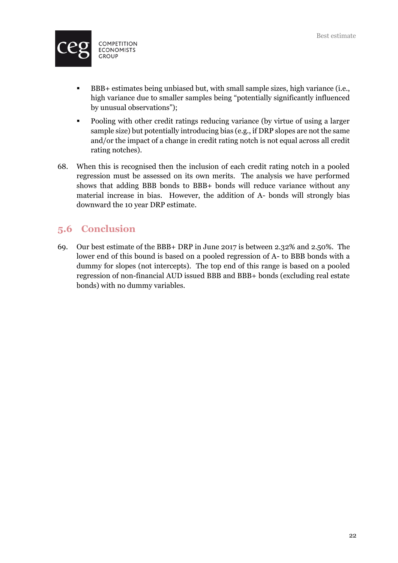

- BBB+ estimates being unbiased but, with small sample sizes, high variance (i.e., high variance due to smaller samples being "potentially significantly influenced by unusual observations");
- Pooling with other credit ratings reducing variance (by virtue of using a larger sample size) but potentially introducing bias (e.g., if DRP slopes are not the same and/or the impact of a change in credit rating notch is not equal across all credit rating notches).
- 68. When this is recognised then the inclusion of each credit rating notch in a pooled regression must be assessed on its own merits. The analysis we have performed shows that adding BBB bonds to BBB+ bonds will reduce variance without any material increase in bias. However, the addition of A- bonds will strongly bias downward the 10 year DRP estimate.

### <span id="page-26-0"></span>**5.6 Conclusion**

69. Our best estimate of the BBB+ DRP in June 2017 is between 2.32% and 2.50%. The lower end of this bound is based on a pooled regression of A- to BBB bonds with a dummy for slopes (not intercepts). The top end of this range is based on a pooled regression of non-financial AUD issued BBB and BBB+ bonds (excluding real estate bonds) with no dummy variables.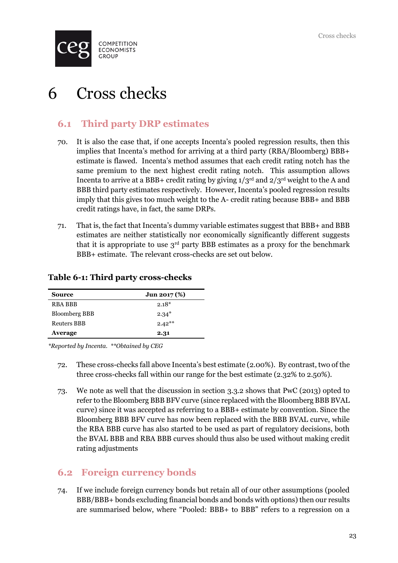

# <span id="page-27-0"></span>6 Cross checks

# <span id="page-27-1"></span>**6.1 Third party DRP estimates**

- 70. It is also the case that, if one accepts Incenta's pooled regression results, then this implies that Incenta's method for arriving at a third party (RBA/Bloomberg) BBB+ estimate is flawed. Incenta's method assumes that each credit rating notch has the same premium to the next highest credit rating notch. This assumption allows Incenta to arrive at a BBB+ credit rating by giving  $1/3<sup>rd</sup>$  and  $2/3<sup>rd</sup>$  weight to the A and BBB third party estimates respectively. However, Incenta's pooled regression results imply that this gives too much weight to the A- credit rating because BBB+ and BBB credit ratings have, in fact, the same DRPs.
- 71. That is, the fact that Incenta's dummy variable estimates suggest that BBB+ and BBB estimates are neither statistically nor economically significantly different suggests that it is appropriate to use  $3<sup>rd</sup>$  party BBB estimates as a proxy for the benchmark BBB+ estimate. The relevant cross-checks are set out below.

#### <span id="page-27-3"></span>**Table 6-1: Third party cross-checks**

| Source               | $Jun 2017 (\%)$ |
|----------------------|-----------------|
| RBA BBB              | $2.18*$         |
| <b>Bloomberg BBB</b> | $2.34*$         |
| <b>Reuters BBB</b>   | $2.42***$       |
| Average              | 2.31            |

*\*Reported by Incenta. \*\*Obtained by CEG*

- 72. These cross-checks fall above Incenta's best estimate (2.00%). By contrast, two of the three cross-checks fall within our range for the best estimate (2.32% to 2.50%).
- 73. We note as well that the discussion in section [3.3.2](#page-12-0) shows that PwC (2013) opted to refer to the Bloomberg BBB BFV curve (since replaced with the Bloomberg BBB BVAL curve) since it was accepted as referring to a BBB+ estimate by convention. Since the Bloomberg BBB BFV curve has now been replaced with the BBB BVAL curve, while the RBA BBB curve has also started to be used as part of regulatory decisions, both the BVAL BBB and RBA BBB curves should thus also be used without making credit rating adjustments

#### <span id="page-27-2"></span>**6.2 Foreign currency bonds**

74. If we include foreign currency bonds but retain all of our other assumptions (pooled BBB/BBB+ bonds excluding financial bonds and bonds with options) then our results are summarised below, where "Pooled: BBB+ to BBB" refers to a regression on a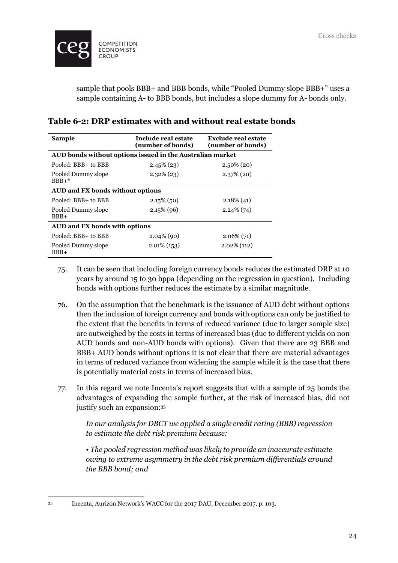

sample that pools BBB+ and BBB bonds, while "Pooled Dummy slope BBB+" uses a sample containing A- to BBB bonds, but includes a slope dummy for A- bonds only.

<span id="page-28-0"></span>

| Table 6-2: DRP estimates with and without real estate bonds |  |  |
|-------------------------------------------------------------|--|--|
|                                                             |  |  |

| <b>Sample</b>                                             | Include real estate<br>(number of bonds) | Exclude real estate<br>(number of bonds) |
|-----------------------------------------------------------|------------------------------------------|------------------------------------------|
| AUD bonds without options issued in the Australian market |                                          |                                          |
| Pooled: BBB+ to BBB                                       | $2.45\%$ (23)                            | $2.50\%$ (20)                            |
| Pooled Dummy slope<br>$BBB+*$                             | $2.32\%$ (23)                            | $2.37\%$ (20)                            |
| AUD and FX bonds without options                          |                                          |                                          |
| Pooled: BBB+ to BBB                                       | $2.15\%$ (50)                            | $2.18\%$ (41)                            |
| Pooled Dummy slope<br>$BBB+$                              | $2.15\%$ (96)                            | $2.24\%$ (74)                            |
| AUD and FX bonds with options                             |                                          |                                          |
| Pooled: BBB+ to BBB                                       | $2.04\%$ (90)                            | $2.06\%$ (71)                            |
| Pooled Dummy slope<br>$BBB+$                              | $2.01\%$ (153)                           | $2.02\%$ (112)                           |

- 75. It can be seen that including foreign currency bonds reduces the estimated DRP at 10 years by around 15 to 30 bppa (depending on the regression in question). Including bonds with options further reduces the estimate by a similar magnitude.
- 76. On the assumption that the benchmark is the issuance of AUD debt without options then the inclusion of foreign currency and bonds with options can only be justified to the extent that the benefits in terms of reduced variance (due to larger sample size) are outweighed by the costs in terms of increased bias (due to different yields on non AUD bonds and non-AUD bonds with options). Given that there are 23 BBB and BBB+ AUD bonds without options it is not clear that there are material advantages in terms of reduced variance from widening the sample while it is the case that there is potentially material costs in terms of increased bias.
- 77. In this regard we note Incenta's report suggests that with a sample of 25 bonds the advantages of expanding the sample further, at the risk of increased bias, did not justify such an expansion:<sup>35</sup>

*In our analysis for DBCT we applied a single credit rating (BBB) regression to estimate the debt risk premium because:*

*• The pooled regression method was likely to provide an inaccurate estimate owing to extreme asymmetry in the debt risk premium differentials around the BBB bond; and*

 $\overline{a}$ <sup>35</sup> Incenta, Aurizon Network's WACC for the 2017 DAU, December 2017, p. 103.